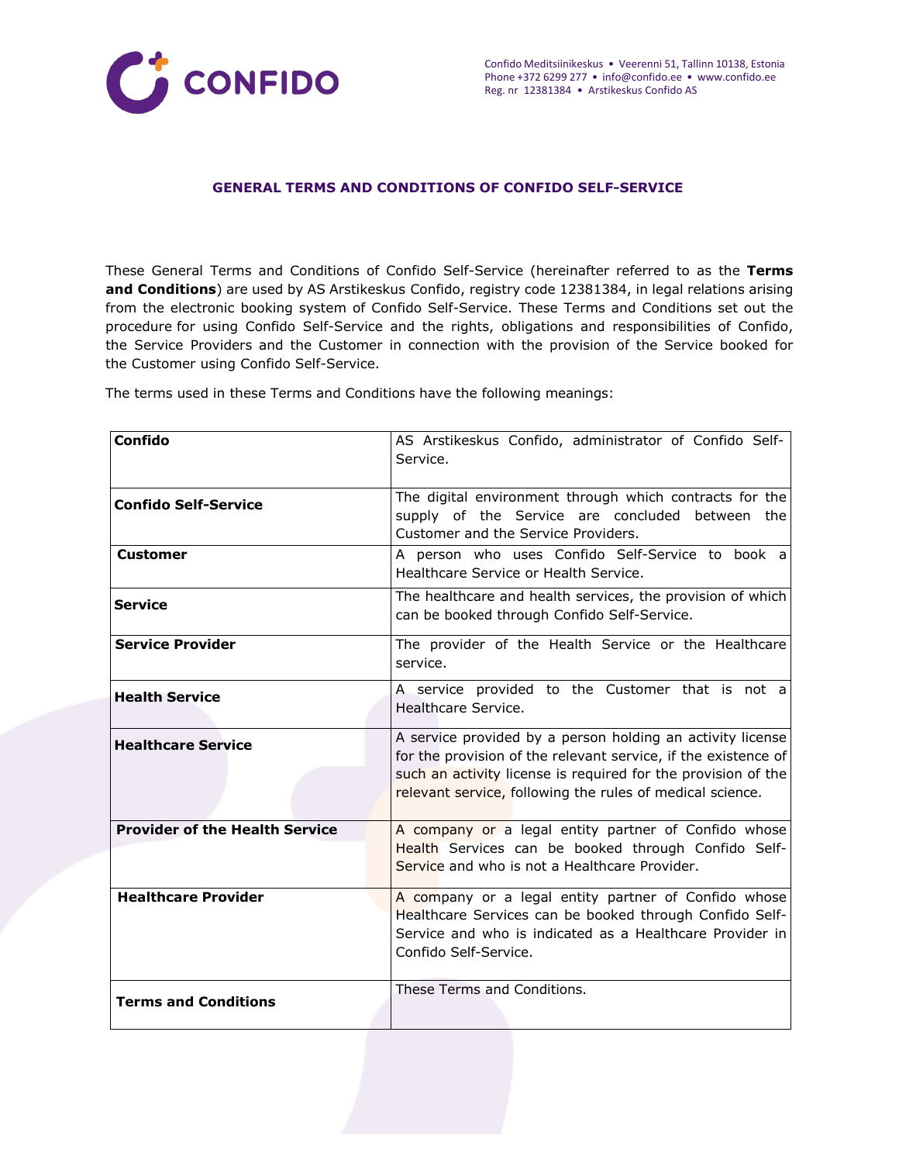

### **GENERAL TERMS AND CONDITIONS OF CONFIDO SELF-SERVICE**

These General Terms and Conditions of Confido Self-Service (hereinafter referred to as the **Terms and Conditions**) are used by AS Arstikeskus Confido, registry code 12381384, in legal relations arising from the electronic booking system of Confido Self-Service. These Terms and Conditions set out the procedure for using Confido Self-Service and the rights, obligations and responsibilities of Confido, the Service Providers and the Customer in connection with the provision of the Service booked for the Customer using Confido Self-Service.

The terms used in these Terms and Conditions have the following meanings:

| <b>Confido</b>                        | AS Arstikeskus Confido, administrator of Confido Self-<br>Service.                                                                                                                                                                                         |
|---------------------------------------|------------------------------------------------------------------------------------------------------------------------------------------------------------------------------------------------------------------------------------------------------------|
| <b>Confido Self-Service</b>           | The digital environment through which contracts for the<br>supply of the Service are concluded between the<br>Customer and the Service Providers.                                                                                                          |
| <b>Customer</b>                       | A person who uses Confido Self-Service to book a<br>Healthcare Service or Health Service.                                                                                                                                                                  |
| <b>Service</b>                        | The healthcare and health services, the provision of which<br>can be booked through Confido Self-Service.                                                                                                                                                  |
| <b>Service Provider</b>               | The provider of the Health Service or the Healthcare<br>service.                                                                                                                                                                                           |
| <b>Health Service</b>                 | A service provided to the Customer that is not a<br>Healthcare Service.                                                                                                                                                                                    |
| <b>Healthcare Service</b>             | A service provided by a person holding an activity license<br>for the provision of the relevant service, if the existence of<br>such an activity license is required for the provision of the<br>relevant service, following the rules of medical science. |
| <b>Provider of the Health Service</b> | A company or a legal entity partner of Confido whose<br>Health Services can be booked through Confido Self-<br>Service and who is not a Healthcare Provider.                                                                                               |
| <b>Healthcare Provider</b>            | A company or a legal entity partner of Confido whose<br>Healthcare Services can be booked through Confido Self-<br>Service and who is indicated as a Healthcare Provider in<br>Confido Self-Service.                                                       |
| <b>Terms and Conditions</b>           | These Terms and Conditions.                                                                                                                                                                                                                                |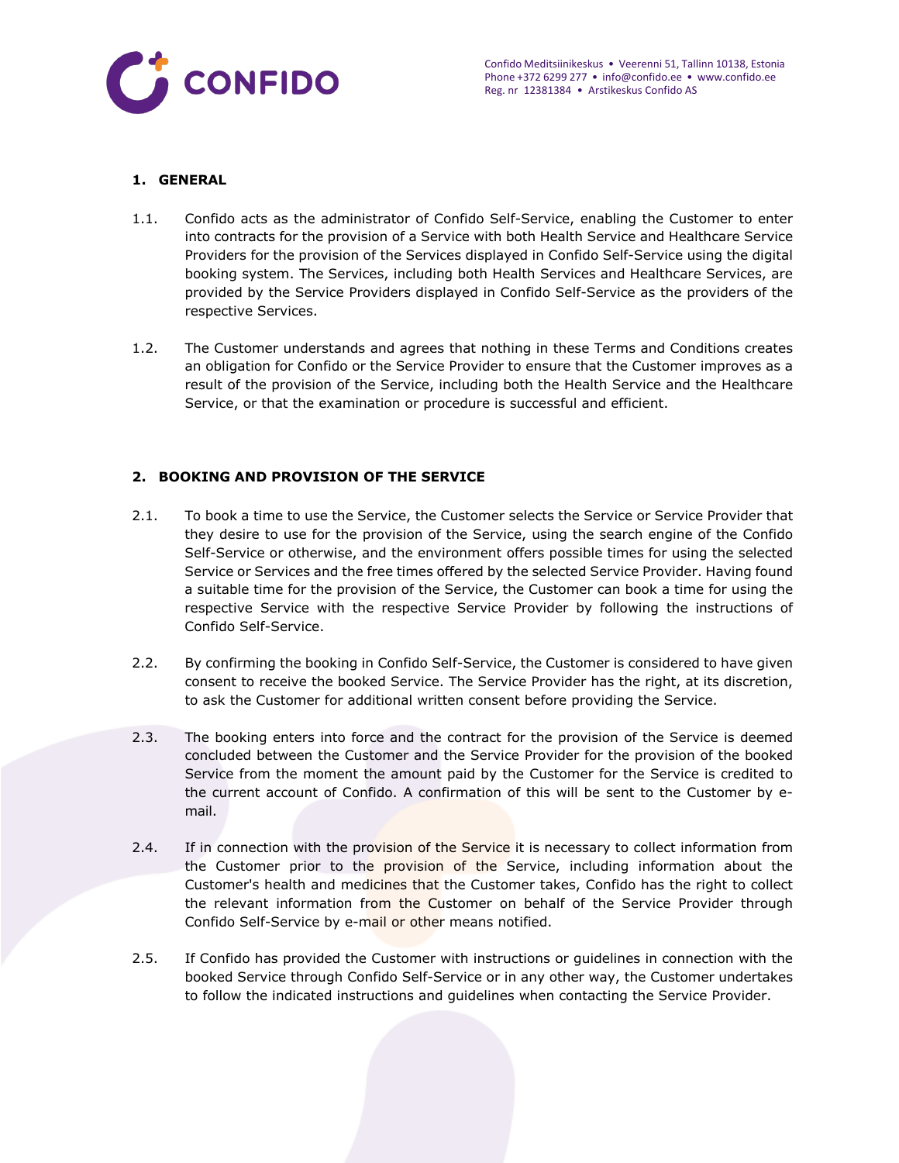

## **1. GENERAL**

- 1.1. Confido acts as the administrator of Confido Self-Service, enabling the Customer to enter into contracts for the provision of a Service with both Health Service and Healthcare Service Providers for the provision of the Services displayed in Confido Self-Service using the digital booking system. The Services, including both Health Services and Healthcare Services, are provided by the Service Providers displayed in Confido Self-Service as the providers of the respective Services.
- 1.2. The Customer understands and agrees that nothing in these Terms and Conditions creates an obligation for Confido or the Service Provider to ensure that the Customer improves as a result of the provision of the Service, including both the Health Service and the Healthcare Service, or that the examination or procedure is successful and efficient.

# **2. BOOKING AND PROVISION OF THE SERVICE**

- 2.1. To book a time to use the Service, the Customer selects the Service or Service Provider that they desire to use for the provision of the Service, using the search engine of the Confido Self-Service or otherwise, and the environment offers possible times for using the selected Service or Services and the free times offered by the selected Service Provider. Having found a suitable time for the provision of the Service, the Customer can book a time for using the respective Service with the respective Service Provider by following the instructions of Confido Self-Service.
- 2.2. By confirming the booking in Confido Self-Service, the Customer is considered to have given consent to receive the booked Service. The Service Provider has the right, at its discretion, to ask the Customer for additional written consent before providing the Service.
- 2.3. The booking enters into force and the contract for the provision of the Service is deemed concluded between the Customer and the Service Provider for the provision of the booked Service from the moment the amount paid by the Customer for the Service is credited to the current account of Confido. A confirmation of this will be sent to the Customer by email.
- 2.4. If in connection with the provision of the Service it is necessary to collect information from the Customer prior to the provision of the Service, including information about the Customer's health and medicines that the Customer takes, Confido has the right to collect the relevant information from the Customer on behalf of the Service Provider through Confido Self-Service by e-mail or other means notified.
- 2.5. If Confido has provided the Customer with instructions or guidelines in connection with the booked Service through Confido Self-Service or in any other way, the Customer undertakes to follow the indicated instructions and guidelines when contacting the Service Provider.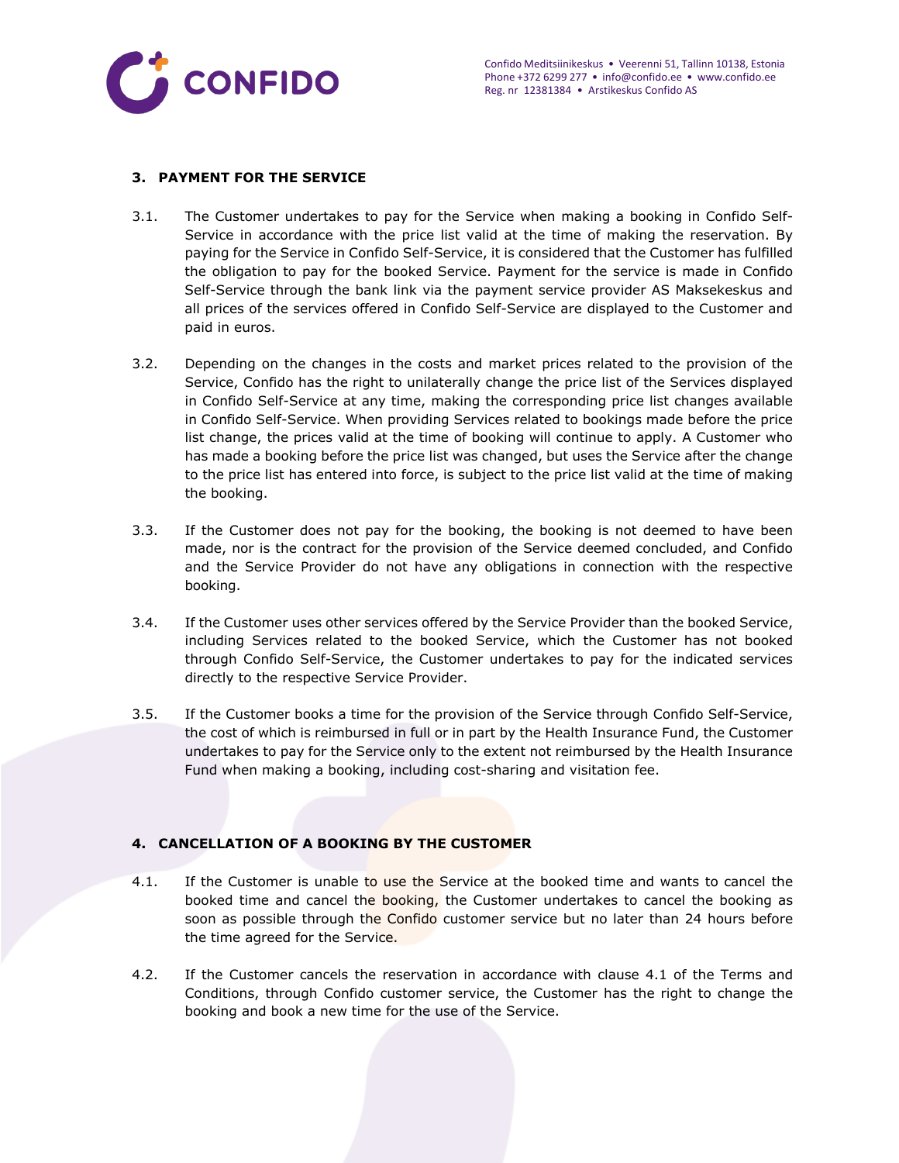

### **3. PAYMENT FOR THE SERVICE**

- 3.1. The Customer undertakes to pay for the Service when making a booking in Confido Self-Service in accordance with the price list valid at the time of making the reservation. By paying for the Service in Confido Self-Service, it is considered that the Customer has fulfilled the obligation to pay for the booked Service. Payment for the service is made in Confido Self-Service through the bank link via the payment service provider AS Maksekeskus and all prices of the services offered in Confido Self-Service are displayed to the Customer and paid in euros.
- 3.2. Depending on the changes in the costs and market prices related to the provision of the Service, Confido has the right to unilaterally change the price list of the Services displayed in Confido Self-Service at any time, making the corresponding price list changes available in Confido Self-Service. When providing Services related to bookings made before the price list change, the prices valid at the time of booking will continue to apply. A Customer who has made a booking before the price list was changed, but uses the Service after the change to the price list has entered into force, is subject to the price list valid at the time of making the booking.
- 3.3. If the Customer does not pay for the booking, the booking is not deemed to have been made, nor is the contract for the provision of the Service deemed concluded, and Confido and the Service Provider do not have any obligations in connection with the respective booking.
- 3.4. If the Customer uses other services offered by the Service Provider than the booked Service, including Services related to the booked Service, which the Customer has not booked through Confido Self-Service, the Customer undertakes to pay for the indicated services directly to the respective Service Provider.
- 3.5. If the Customer books a time for the provision of the Service through Confido Self-Service, the cost of which is reimbursed in full or in part by the Health Insurance Fund, the Customer undertakes to pay for the Service only to the extent not reimbursed by the Health Insurance Fund when making a booking, including cost-sharing and visitation fee.

## **4. CANCELLATION OF A BOOKING BY THE CUSTOMER**

- 4.1. If the Customer is unable to use the Service at the booked time and wants to cancel the booked time and cancel the booking, the Customer undertakes to cancel the booking as soon as possible through the Confido customer service but no later than 24 hours before the time agreed for the Service.
- 4.2. If the Customer cancels the reservation in accordance with clause 4.1 of the Terms and Conditions, through Confido customer service, the Customer has the right to change the booking and book a new time for the use of the Service.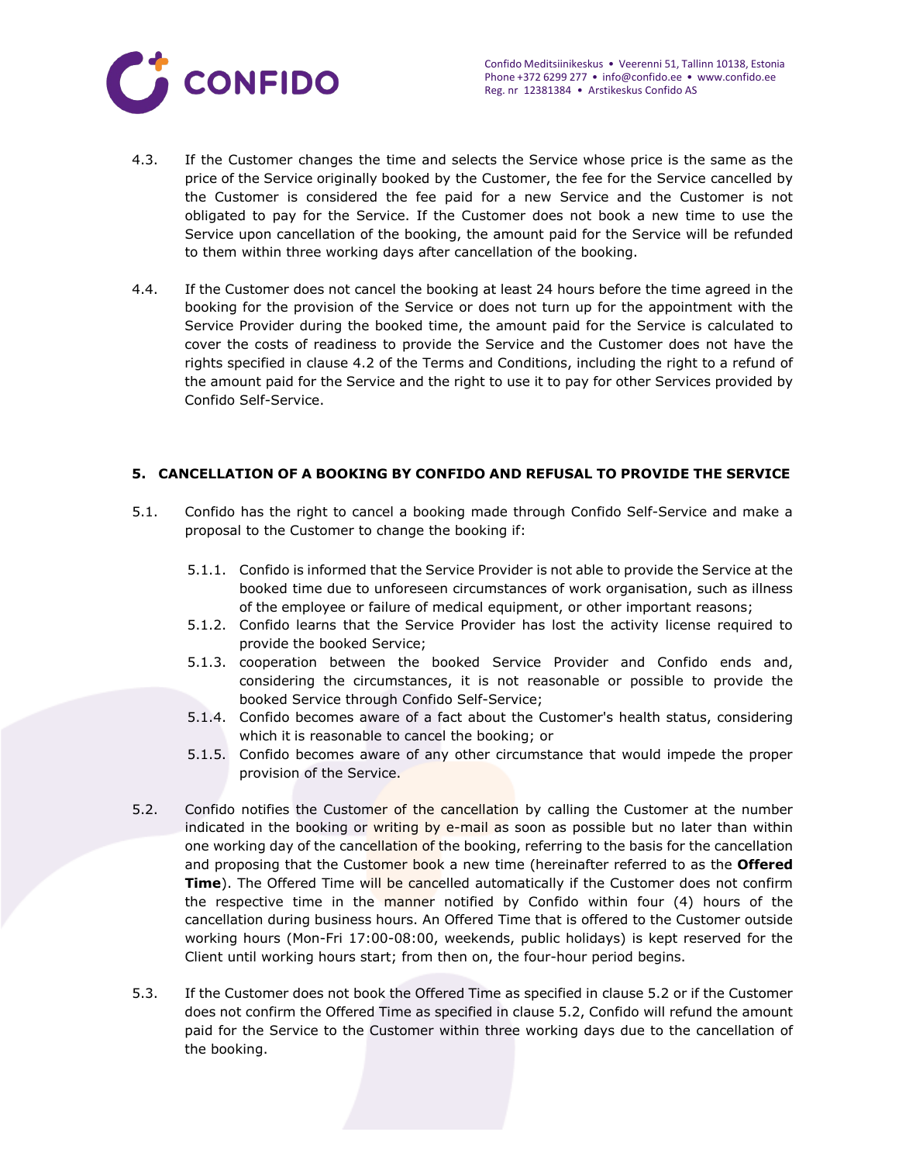

- 4.3. If the Customer changes the time and selects the Service whose price is the same as the price of the Service originally booked by the Customer, the fee for the Service cancelled by the Customer is considered the fee paid for a new Service and the Customer is not obligated to pay for the Service. If the Customer does not book a new time to use the Service upon cancellation of the booking, the amount paid for the Service will be refunded to them within three working days after cancellation of the booking.
- 4.4. If the Customer does not cancel the booking at least 24 hours before the time agreed in the booking for the provision of the Service or does not turn up for the appointment with the Service Provider during the booked time, the amount paid for the Service is calculated to cover the costs of readiness to provide the Service and the Customer does not have the rights specified in clause 4.2 of the Terms and Conditions, including the right to a refund of the amount paid for the Service and the right to use it to pay for other Services provided by Confido Self-Service.

## **5. CANCELLATION OF A BOOKING BY CONFIDO AND REFUSAL TO PROVIDE THE SERVICE**

- 5.1. Confido has the right to cancel a booking made through Confido Self-Service and make a proposal to the Customer to change the booking if:
	- 5.1.1. Confido is informed that the Service Provider is not able to provide the Service at the booked time due to unforeseen circumstances of work organisation, such as illness of the employee or failure of medical equipment, or other important reasons;
	- 5.1.2. Confido learns that the Service Provider has lost the activity license required to provide the booked Service;
	- 5.1.3. cooperation between the booked Service Provider and Confido ends and, considering the circumstances, it is not reasonable or possible to provide the booked Service through Confido Self-Service;
	- 5.1.4. Confido becomes aware of a fact about the Customer's health status, considering which it is reasonable to cancel the booking; or
	- 5.1.5. Confido becomes aware of any other circumstance that would impede the proper provision of the Service.
- 5.2. Confido notifies the Customer of the cancellation by calling the Customer at the number indicated in the booking or writing by e-mail as soon as possible but no later than within one working day of the cancellation of the booking, referring to the basis for the cancellation and proposing that the Customer book a new time (hereinafter referred to as the **Offered Time**). The Offered Time will be cancelled automatically if the Customer does not confirm the respective time in the manner notified by Confido within four (4) hours of the cancellation during business hours. An Offered Time that is offered to the Customer outside working hours (Mon-Fri 17:00-08:00, weekends, public holidays) is kept reserved for the Client until working hours start; from then on, the four-hour period begins.
- 5.3. If the Customer does not book the Offered Time as specified in clause 5.2 or if the Customer does not confirm the Offered Time as specified in clause 5.2, Confido will refund the amount paid for the Service to the Customer within three working days due to the cancellation of the booking.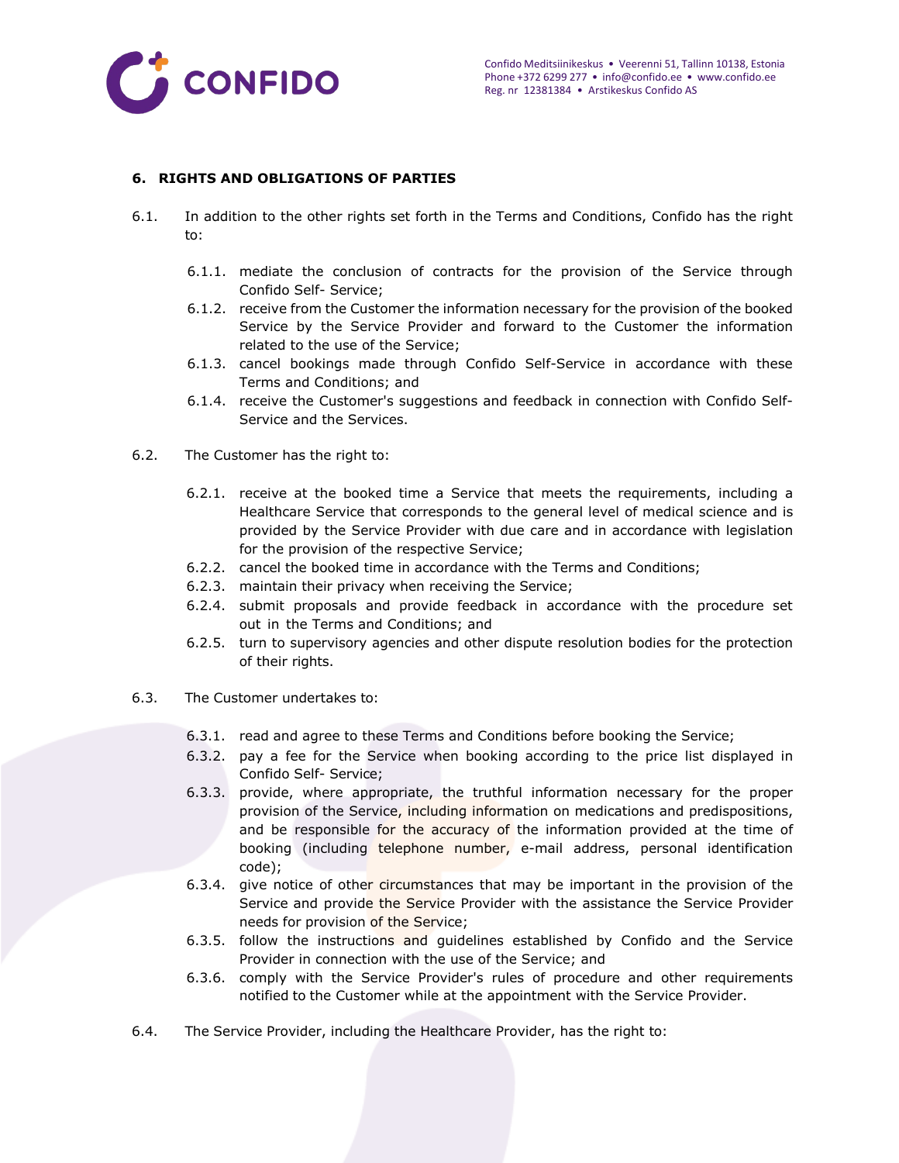

### **6. RIGHTS AND OBLIGATIONS OF PARTIES**

- 6.1. In addition to the other rights set forth in the Terms and Conditions, Confido has the right to:
	- 6.1.1. mediate the conclusion of contracts for the provision of the Service through Confido Self- Service;
	- 6.1.2. receive from the Customer the information necessary for the provision of the booked Service by the Service Provider and forward to the Customer the information related to the use of the Service;
	- 6.1.3. cancel bookings made through Confido Self-Service in accordance with these Terms and Conditions; and
	- 6.1.4. receive the Customer's suggestions and feedback in connection with Confido Self-Service and the Services.
- 6.2. The Customer has the right to:
	- 6.2.1. receive at the booked time a Service that meets the requirements, including a Healthcare Service that corresponds to the general level of medical science and is provided by the Service Provider with due care and in accordance with legislation for the provision of the respective Service;
	- 6.2.2. cancel the booked time in accordance with the Terms and Conditions;
	- 6.2.3. maintain their privacy when receiving the Service;
	- 6.2.4. submit proposals and provide feedback in accordance with the procedure set out in the Terms and Conditions; and
	- 6.2.5. turn to supervisory agencies and other dispute resolution bodies for the protection of their rights.
- 6.3. The Customer undertakes to:
	- 6.3.1. read and agree to these Terms and Conditions before booking the Service;
	- 6.3.2. pay a fee for the Service when booking according to the price list displayed in Confido Self- Service;
	- 6.3.3. provide, where appropriate, the truthful information necessary for the proper provision of the Service, including information on medications and predispositions, and be responsible for the accuracy of the information provided at the time of booking (including telephone number, e-mail address, personal identification code);
	- 6.3.4. give notice of other circumstances that may be important in the provision of the Service and provide the Service Provider with the assistance the Service Provider needs for provision of the Service;
	- 6.3.5. follow the instructions and guidelines established by Confido and the Service Provider in connection with the use of the Service; and
	- 6.3.6. comply with the Service Provider's rules of procedure and other requirements notified to the Customer while at the appointment with the Service Provider.
- 6.4. The Service Provider, including the Healthcare Provider, has the right to: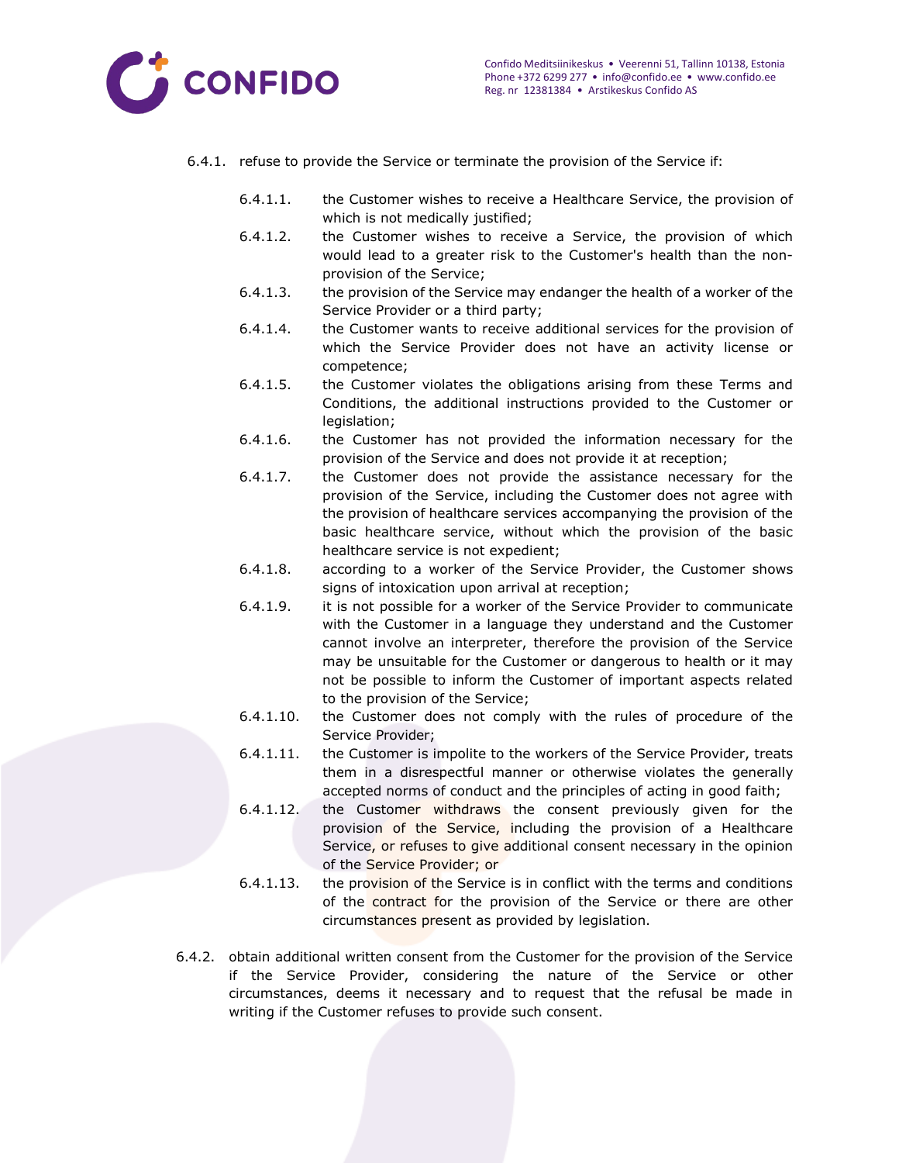

- 6.4.1. refuse to provide the Service or terminate the provision of the Service if:
	- 6.4.1.1. the Customer wishes to receive a Healthcare Service, the provision of which is not medically justified;
	- 6.4.1.2. the Customer wishes to receive a Service, the provision of which would lead to a greater risk to the Customer's health than the nonprovision of the Service;
	- 6.4.1.3. the provision of the Service may endanger the health of a worker of the Service Provider or a third party;
	- 6.4.1.4. the Customer wants to receive additional services for the provision of which the Service Provider does not have an activity license or competence;
	- 6.4.1.5. the Customer violates the obligations arising from these Terms and Conditions, the additional instructions provided to the Customer or legislation;
	- 6.4.1.6. the Customer has not provided the information necessary for the provision of the Service and does not provide it at reception;
	- 6.4.1.7. the Customer does not provide the assistance necessary for the provision of the Service, including the Customer does not agree with the provision of healthcare services accompanying the provision of the basic healthcare service, without which the provision of the basic healthcare service is not expedient;
	- 6.4.1.8. according to a worker of the Service Provider, the Customer shows signs of intoxication upon arrival at reception;
	- 6.4.1.9. it is not possible for a worker of the Service Provider to communicate with the Customer in a language they understand and the Customer cannot involve an interpreter, therefore the provision of the Service may be unsuitable for the Customer or dangerous to health or it may not be possible to inform the Customer of important aspects related to the provision of the Service;
	- 6.4.1.10. the Customer does not comply with the rules of procedure of the Service Provider;
	- 6.4.1.11. the Customer is impolite to the workers of the Service Provider, treats them in a disrespectful manner or otherwise violates the generally accepted norms of conduct and the principles of acting in good faith;
	- 6.4.1.12. the Customer withdraws the consent previously given for the provision of the Service, including the provision of a Healthcare Service, or refuses to give additional consent necessary in the opinion of the Service Provider; or
	- 6.4.1.13. the provision of the Service is in conflict with the terms and conditions of the contract for the provision of the Service or there are other circumstances present as provided by legislation.
- 6.4.2. obtain additional written consent from the Customer for the provision of the Service if the Service Provider, considering the nature of the Service or other circumstances, deems it necessary and to request that the refusal be made in writing if the Customer refuses to provide such consent.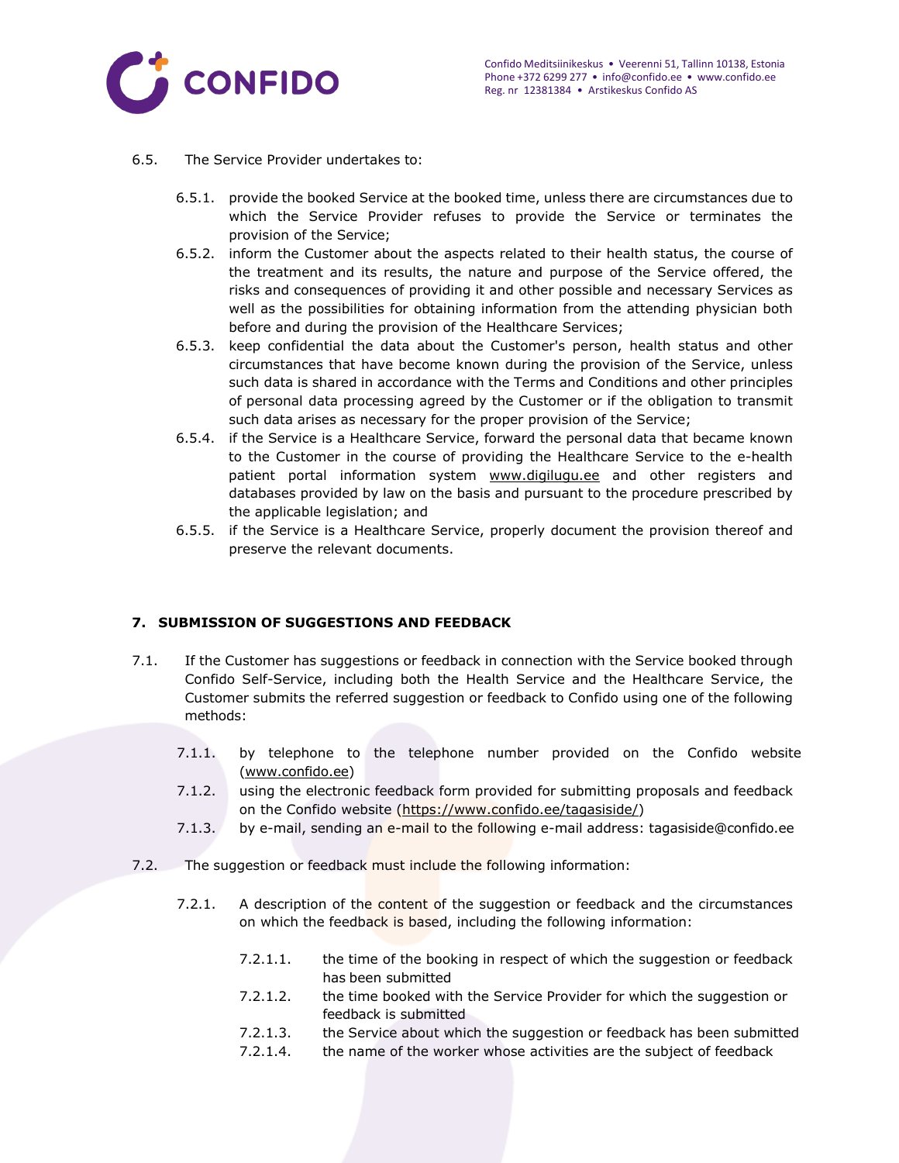

- 6.5. The Service Provider undertakes to:
	- 6.5.1. provide the booked Service at the booked time, unless there are circumstances due to which the Service Provider refuses to provide the Service or terminates the provision of the Service;
	- 6.5.2. inform the Customer about the aspects related to their health status, the course of the treatment and its results, the nature and purpose of the Service offered, the risks and consequences of providing it and other possible and necessary Services as well as the possibilities for obtaining information from the attending physician both before and during the provision of the Healthcare Services;
	- 6.5.3. keep confidential the data about the Customer's person, health status and other circumstances that have become known during the provision of the Service, unless such data is shared in accordance with the Terms and Conditions and other principles of personal data processing agreed by the Customer or if the obligation to transmit such data arises as necessary for the proper provision of the Service;
	- 6.5.4. if the Service is a Healthcare Service, forward the personal data that became known to the Customer in the course of providing the Healthcare Service to the e-health patient portal information system [www.digilugu.ee](http://www.digilugu.ee/) and other registers and databases provided by law on the basis and pursuant to the procedure prescribed by the applicable legislation; and
	- 6.5.5. if the Service is a Healthcare Service, properly document the provision thereof and preserve the relevant documents.

## **7. SUBMISSION OF SUGGESTIONS AND FEEDBACK**

- 7.1. If the Customer has suggestions or feedback in connection with the Service booked through Confido Self-Service, including both the Health Service and the Healthcare Service, the Customer submits the referred suggestion or feedback to Confido using one of the following methods:
	- 7.1.1. by telephone to the telephone number provided on the Confido website [\(www.confido.ee\)](http://www.confido.ee/)
	- 7.1.2. using the electronic feedback form provided for submitting proposals and feedback on the Confido website [\(https://www.confido.ee/tagasiside/\)](https://www.confido.ee/info-ja-kontaktid/tagasiside/)
	- 7.1.3. by e-mail, sending an e-mail to the following e-mail address: [tagasiside@confido.ee](mailto:tagasiside@confido.ee)
- 7.2. The suggestion or feedback must include the following information:
	- 7.2.1. A description of the content of the suggestion or feedback and the circumstances on which the feedback is based, including the following information:
		- 7.2.1.1. the time of the booking in respect of which the suggestion or feedback has been submitted
		- 7.2.1.2. the time booked with the Service Provider for which the suggestion or feedback is submitted
		- 7.2.1.3. the Service about which the suggestion or feedback has been submitted
		- 7.2.1.4. the name of the worker whose activities are the subject of feedback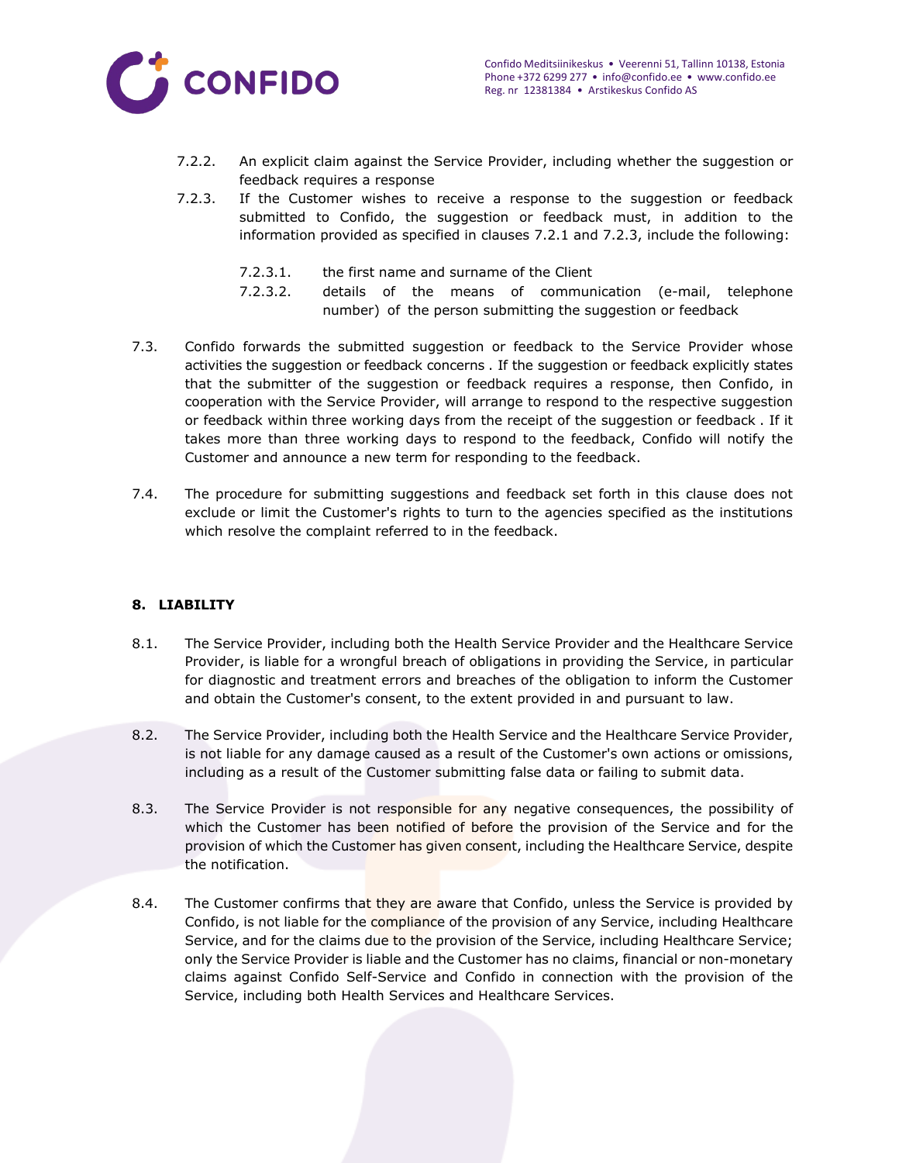

- 7.2.2. An explicit claim against the Service Provider, including whether the suggestion or feedback requires a response
- 7.2.3. If the Customer wishes to receive a response to the suggestion or feedback submitted to Confido, the suggestion or feedback must, in addition to the information provided as specified in clauses 7.2.1 and 7.2.3, include the following:
	- 7.2.3.1. the first name and surname of the Client
	- 7.2.3.2. details of the means of communication (e-mail, telephone number) of the person submitting the suggestion or feedback
- 7.3. Confido forwards the submitted suggestion or feedback to the Service Provider whose activities the suggestion or feedback concerns . If the suggestion or feedback explicitly states that the submitter of the suggestion or feedback requires a response, then Confido, in cooperation with the Service Provider, will arrange to respond to the respective suggestion or feedback within three working days from the receipt of the suggestion or feedback . If it takes more than three working days to respond to the feedback, Confido will notify the Customer and announce a new term for responding to the feedback.
- 7.4. The procedure for submitting suggestions and feedback set forth in this clause does not exclude or limit the Customer's rights to turn to the agencies specified as the institutions which resolve the complaint referred to in the feedback.

## **8. LIABILITY**

- 8.1. The Service Provider, including both the Health Service Provider and the Healthcare Service Provider, is liable for a wrongful breach of obligations in providing the Service, in particular for diagnostic and treatment errors and breaches of the obligation to inform the Customer and obtain the Customer's consent, to the extent provided in and pursuant to law.
- 8.2. The Service Provider, including both the Health Service and the Healthcare Service Provider, is not liable for any damage caused as a result of the Customer's own actions or omissions, including as a result of the Customer submitting false data or failing to submit data.
- 8.3. The Service Provider is not responsible for any negative consequences, the possibility of which the Customer has been notified of before the provision of the Service and for the provision of which the Customer has given consent, including the Healthcare Service, despite the notification.
- 8.4. The Customer confirms that they are aware that Confido, unless the Service is provided by Confido, is not liable for the compliance of the provision of any Service, including Healthcare Service, and for the claims due to the provision of the Service, including Healthcare Service; only the Service Provider is liable and the Customer has no claims, financial or non-monetary claims against Confido Self-Service and Confido in connection with the provision of the Service, including both Health Services and Healthcare Services.